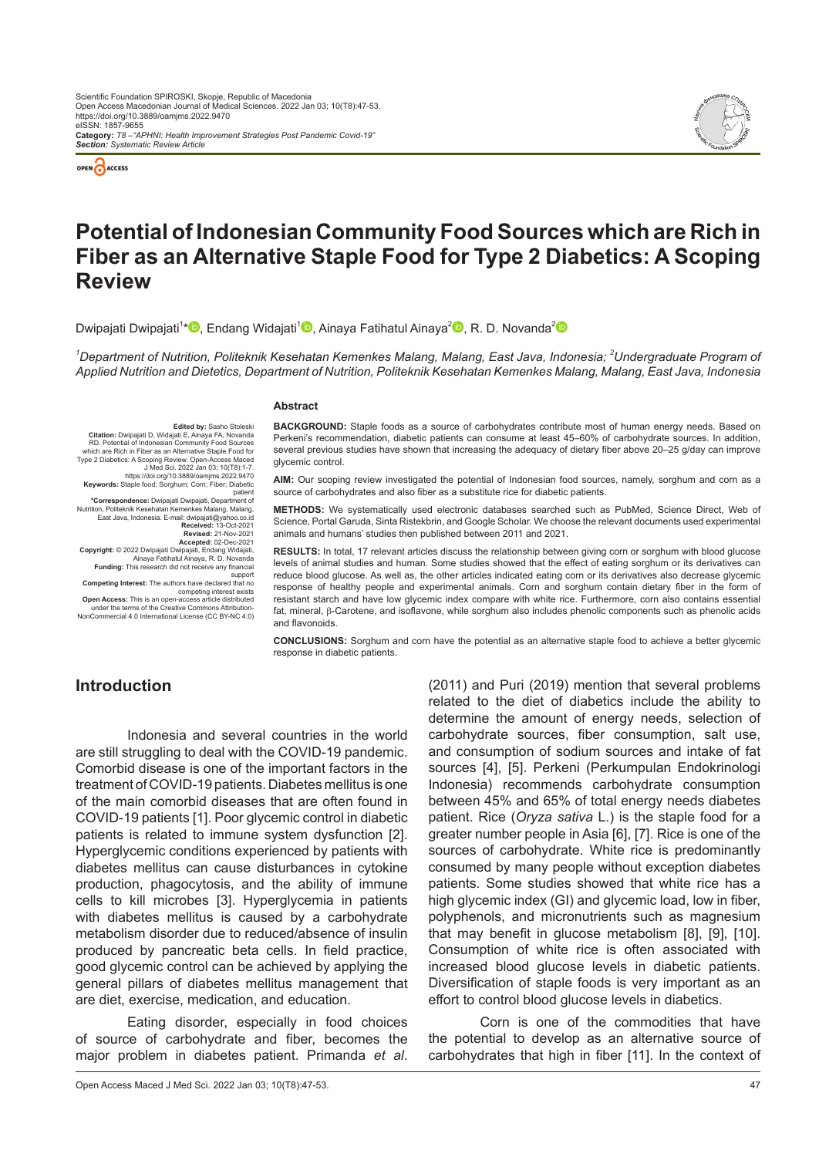

*Section: Systematic Review Article*



# **Potential of Indonesian Community Food Sources which are Rich in Fiber as an Alternative Staple Food for Type 2 Diabetics: A Scoping Review**

Dwipajati Dwipajati<sup>1</sup>[\\*](https://orcid.org/0000-0001-9462-281X)<sup>®</sup>[,](https://orcid.org/0000-0001-7609-2878) Endang Widajati<sup>1®</sup>, Ainaya Fatihatul Ainaya<sup>[2](https://orcid.org/0000-0002-9174-1247)</sup>®, R. D. Novanda<sup>2</sup>

*1 Department of Nutrition, Politeknik Kesehatan Kemenkes Malang, Malang, East Java, Indonesia; 2 Undergraduate Program of Applied Nutrition and Dietetics, Department of Nutrition, Politeknik Kesehatan Kemenkes Malang, Malang, East Java, Indonesia*

#### **Abstract**

**Edited by:** Sasho Stoleski<br>**Citation:** Dwipajati D, Widajati E, Ainaya FA, Novanda<br>RD. Potential of Indonesian Community Food Sources<br>which are Rich in Fiber as an Alternative Staple Food for Type 2 Diabetics: A Scoping Review. Open-Access Maced J Med Sci. 2022 Jan 03; 10(T8):1-7. https://doi.org/10.3889/oamjms.2022.9470 **Keywords:** Staple food; Sorghum; Corn; Fiber; Diabetic

patient

**\*Correspondence:** Dwipajati Dwipajati, Department of Nutrition, Politeknik Kesehatan Kemenkes Malang, Malang, East Java, Indonesia. E-mail: dwipajati@yahoo.co.id **Received:** 13-Oct-2021

**Revised:** 21-Nov-2021

**Accepted:** 02-Dec-2021<br>**Copyright:** © 2022 Dwipajati Dwipajati, Endang Widajati,<br>Ainaya Fatihatul Ainaya, R. D. Novanda<br>**Funding:** This research did not receive any financial

support

**Competing Interest:** The authors have declared that no competing interest exists

**Open Access:** This is an open-access article distributed under the terms of the Creative Commons Attribution-NonCommercial 4.0 International License (CC BY-NC 4.0)

**BACKGROUND:** Staple foods as a source of carbohydrates contribute most of human energy needs. Based on Perkeni's recommendation, diabetic patients can consume at least 45–60% of carbohydrate sources. In addition, several previous studies have shown that increasing the adequacy of dietary fiber above 20–25 g/day can improve glycemic control.

**AIM:** Our scoping review investigated the potential of Indonesian food sources, namely, sorghum and corn as a source of carbohydrates and also fiber as a substitute rice for diabetic patients.

**METHODS:** We systematically used electronic databases searched such as PubMed, Science Direct, Web of Science, Portal Garuda, Sinta Ristekbrin, and Google Scholar. We choose the relevant documents used experimental animals and humans' studies then published between 2011 and 2021.

**RESULTS:** In total, 17 relevant articles discuss the relationship between giving corn or sorghum with blood glucose levels of animal studies and human. Some studies showed that the effect of eating sorghum or its derivatives can reduce blood glucose. As well as, the other articles indicated eating corn or its derivatives also decrease glycemic response of healthy people and experimental animals. Corn and sorghum contain dietary fiber in the form of resistant starch and have low glycemic index compare with white rice. Furthermore, corn also contains essential fat, mineral, β-Carotene, and isoflavone, while sorghum also includes phenolic components such as phenolic acids and flavonoids.

**CONCLUSIONS:** Sorghum and corn have the potential as an alternative staple food to achieve a better glycemic response in diabetic patients.

# **Introduction**

Indonesia and several countries in the world are still struggling to deal with the COVID-19 pandemic. Comorbid disease is one of the important factors in the treatment of COVID-19 patients. Diabetes mellitus is one of the main comorbid diseases that are often found in COVID-19 patients [1]. Poor glycemic control in diabetic patients is related to immune system dysfunction [2]. Hyperglycemic conditions experienced by patients with diabetes mellitus can cause disturbances in cytokine production, phagocytosis, and the ability of immune cells to kill microbes [3]. Hyperglycemia in patients with diabetes mellitus is caused by a carbohydrate metabolism disorder due to reduced/absence of insulin produced by pancreatic beta cells. In field practice, good glycemic control can be achieved by applying the general pillars of diabetes mellitus management that are diet, exercise, medication, and education.

Eating disorder, especially in food choices of source of carbohydrate and fiber, becomes the major problem in diabetes patient. Primanda *et al*.

(2011) and Puri (2019) mention that several problems related to the diet of diabetics include the ability to determine the amount of energy needs, selection of carbohydrate sources, fiber consumption, salt use, and consumption of sodium sources and intake of fat sources [4], [5]. Perkeni (Perkumpulan Endokrinologi Indonesia) recommends carbohydrate consumption between 45% and 65% of total energy needs diabetes patient. Rice (*Oryza sativa* L.) is the staple food for a greater number people in Asia [6], [7]. Rice is one of the sources of carbohydrate. White rice is predominantly consumed by many people without exception diabetes patients. Some studies showed that white rice has a high glycemic index (GI) and glycemic load, low in fiber, polyphenols, and micronutrients such as magnesium that may benefit in glucose metabolism [8], [9], [10]. Consumption of white rice is often associated with increased blood glucose levels in diabetic patients. Diversification of staple foods is very important as an effort to control blood glucose levels in diabetics.

Corn is one of the commodities that have the potential to develop as an alternative source of carbohydrates that high in fiber [11]. In the context of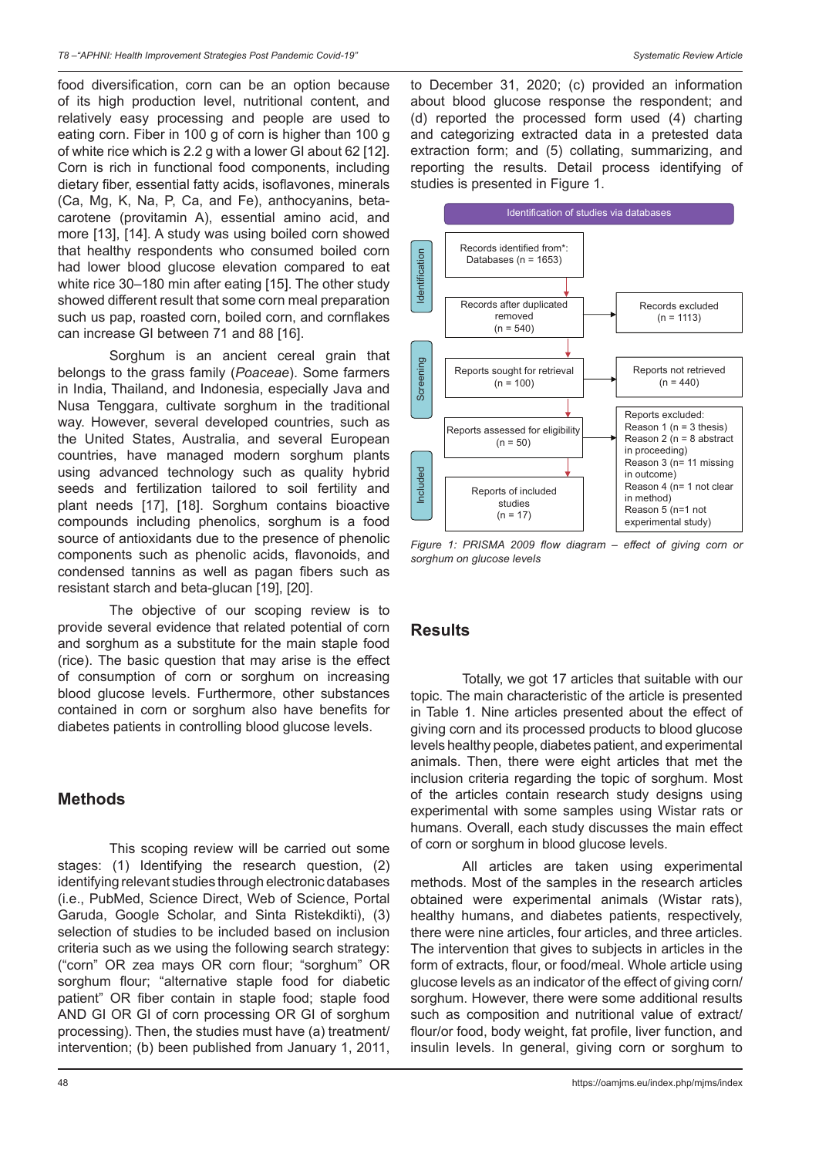food diversification, corn can be an option because of its high production level, nutritional content, and relatively easy processing and people are used to eating corn. Fiber in 100 g of corn is higher than 100 g of white rice which is 2.2 g with a lower GI about 62 [12]. Corn is rich in functional food components, including dietary fiber, essential fatty acids, isoflavones, minerals (Ca, Mg, K, Na, P, Ca, and Fe), anthocyanins, betacarotene (provitamin A), essential amino acid, and more [13], [14]. A study was using boiled corn showed that healthy respondents who consumed boiled corn had lower blood glucose elevation compared to eat white rice 30–180 min after eating [15]. The other study showed different result that some corn meal preparation such us pap, roasted corn, boiled corn, and cornflakes can increase GI between 71 and 88 [16].

Sorghum is an ancient cereal grain that belongs to the grass family (*Poaceae*). Some farmers in India, Thailand, and Indonesia, especially Java and Nusa Tenggara, cultivate sorghum in the traditional way. However, several developed countries, such as the United States, Australia, and several European countries, have managed modern sorghum plants using advanced technology such as quality hybrid seeds and fertilization tailored to soil fertility and plant needs [17], [18]. Sorghum contains bioactive compounds including phenolics, sorghum is a food source of antioxidants due to the presence of phenolic components such as phenolic acids, flavonoids, and condensed tannins as well as pagan fibers such as resistant starch and beta-glucan [19], [20].

The objective of our scoping review is to provide several evidence that related potential of corn and sorghum as a substitute for the main staple food (rice). The basic question that may arise is the effect of consumption of corn or sorghum on increasing blood glucose levels. Furthermore, other substances contained in corn or sorghum also have benefits for diabetes patients in controlling blood glucose levels.

# **Methods**

This scoping review will be carried out some stages: (1) Identifying the research question, (2) identifying relevant studies through electronic databases (i.e., PubMed, Science Direct, Web of Science, Portal Garuda, Google Scholar, and Sinta Ristekdikti), (3) selection of studies to be included based on inclusion criteria such as we using the following search strategy: ("corn" OR zea mays OR corn flour; "sorghum" OR sorghum flour; "alternative staple food for diabetic patient" OR fiber contain in staple food; staple food AND GI OR GI of corn processing OR GI of sorghum processing). Then, the studies must have (a) treatment/ intervention; (b) been published from January 1, 2011,

to December 31, 2020; (c) provided an information about blood glucose response the respondent; and (d) reported the processed form used (4) charting and categorizing extracted data in a pretested data extraction form; and (5) collating, summarizing, and reporting the results. Detail process identifying of studies is presented in Figure 1.



*Figure 1: PRISMA 2009 flow diagram – effect of giving corn or sorghum on glucose levels*

# **Results**

Totally, we got 17 articles that suitable with our topic. The main characteristic of the article is presented in Table 1. Nine articles presented about the effect of giving corn and its processed products to blood glucose levels healthy people, diabetes patient, and experimental animals. Then, there were eight articles that met the inclusion criteria regarding the topic of sorghum. Most of the articles contain research study designs using experimental with some samples using Wistar rats or humans. Overall, each study discusses the main effect of corn or sorghum in blood glucose levels.

All articles are taken using experimental methods. Most of the samples in the research articles obtained were experimental animals (Wistar rats), healthy humans, and diabetes patients, respectively, there were nine articles, four articles, and three articles. The intervention that gives to subjects in articles in the form of extracts, flour, or food/meal. Whole article using glucose levels as an indicator of the effect of giving corn/ sorghum. However, there were some additional results such as composition and nutritional value of extract/ flour/or food, body weight, fat profile, liver function, and insulin levels. In general, giving corn or sorghum to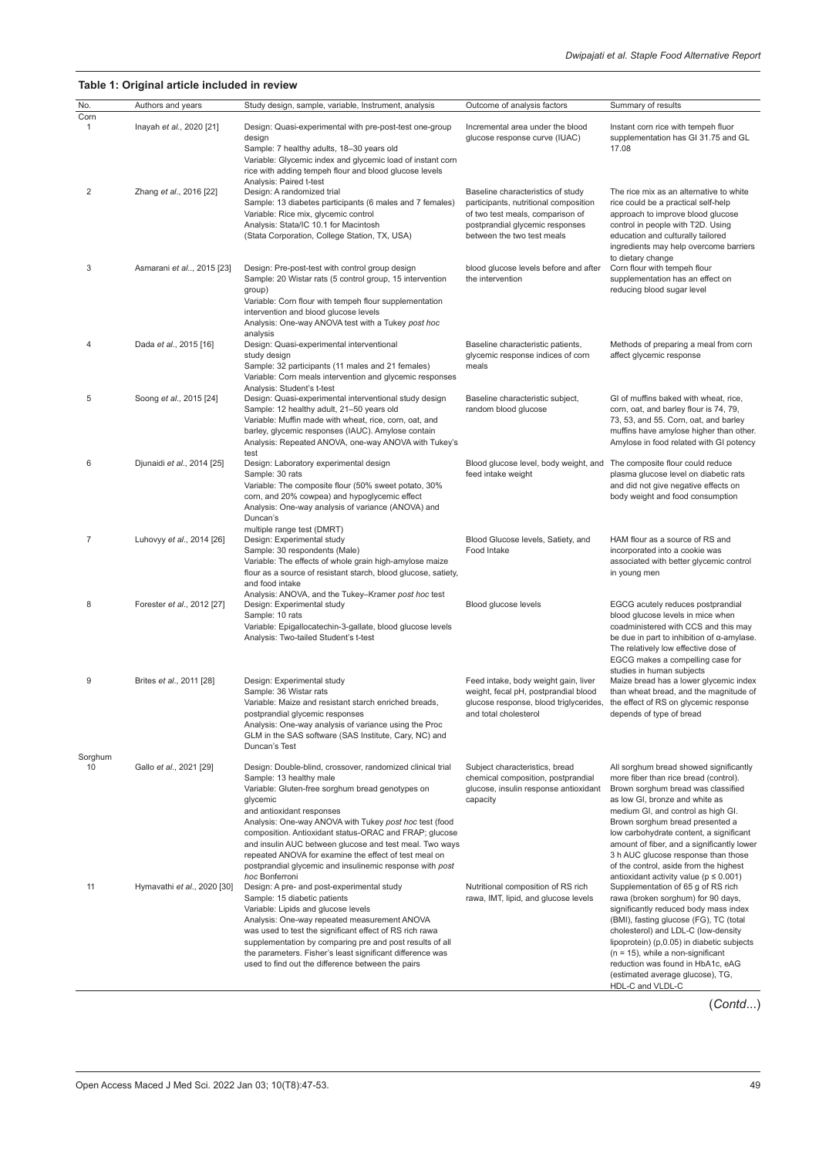#### **Table 1: Original article included in review**

| No.            | Authors and years           | Study design, sample, variable, Instrument, analysis                                                                                                                                                                                                                                                                                                                                                                                       | Outcome of analysis factors                                                                                                                                                     | Summary of results                                                                                                                                                                                                                                                                                                                                                                                                |
|----------------|-----------------------------|--------------------------------------------------------------------------------------------------------------------------------------------------------------------------------------------------------------------------------------------------------------------------------------------------------------------------------------------------------------------------------------------------------------------------------------------|---------------------------------------------------------------------------------------------------------------------------------------------------------------------------------|-------------------------------------------------------------------------------------------------------------------------------------------------------------------------------------------------------------------------------------------------------------------------------------------------------------------------------------------------------------------------------------------------------------------|
| Corn           |                             |                                                                                                                                                                                                                                                                                                                                                                                                                                            |                                                                                                                                                                                 |                                                                                                                                                                                                                                                                                                                                                                                                                   |
| 1              | Inayah et al., 2020 [21]    | Design: Quasi-experimental with pre-post-test one-group<br>design<br>Sample: 7 healthy adults, 18-30 years old<br>Variable: Glycemic index and glycemic load of instant corn<br>rice with adding tempeh flour and blood glucose levels<br>Analysis: Paired t-test                                                                                                                                                                          | Incremental area under the blood<br>glucose response curve (IUAC)                                                                                                               | Instant corn rice with tempeh fluor<br>supplementation has GI 31.75 and GL<br>17.08                                                                                                                                                                                                                                                                                                                               |
| 2              | Zhang et al., 2016 [22]     | Design: A randomized trial<br>Sample: 13 diabetes participants (6 males and 7 females)<br>Variable: Rice mix, glycemic control<br>Analysis: Stata/IC 10.1 for Macintosh<br>(Stata Corporation, College Station, TX, USA)                                                                                                                                                                                                                   | Baseline characteristics of study<br>participants, nutritional composition<br>of two test meals, comparison of<br>postprandial glycemic responses<br>between the two test meals | The rice mix as an alternative to white<br>rice could be a practical self-help<br>approach to improve blood glucose<br>control in people with T2D. Using<br>education and culturally tailored<br>ingredients may help overcome barriers<br>to dietary change                                                                                                                                                      |
| 3              | Asmarani et al, 2015 [23]   | Design: Pre-post-test with control group design<br>Sample: 20 Wistar rats (5 control group, 15 intervention<br>group)<br>Variable: Corn flour with tempeh flour supplementation<br>intervention and blood glucose levels<br>Analysis: One-way ANOVA test with a Tukey post hoc<br>analysis                                                                                                                                                 | blood glucose levels before and after<br>the intervention                                                                                                                       | Corn flour with tempeh flour<br>supplementation has an effect on<br>reducing blood sugar level                                                                                                                                                                                                                                                                                                                    |
| 4              | Dada et al., 2015 [16]      | Design: Quasi-experimental interventional<br>study design<br>Sample: 32 participants (11 males and 21 females)<br>Variable: Corn meals intervention and glycemic responses<br>Analysis: Student's t-test                                                                                                                                                                                                                                   | Baseline characteristic patients,<br>glycemic response indices of corn<br>meals                                                                                                 | Methods of preparing a meal from corn<br>affect glycemic response                                                                                                                                                                                                                                                                                                                                                 |
| 5              | Soong et al., 2015 [24]     | Design: Quasi-experimental interventional study design<br>Sample: 12 healthy adult, 21-50 years old<br>Variable: Muffin made with wheat, rice, corn, oat, and<br>barley, glycemic responses (IAUC). Amylose contain<br>Analysis: Repeated ANOVA, one-way ANOVA with Tukey's<br>test                                                                                                                                                        | Baseline characteristic subject,<br>random blood glucose                                                                                                                        | GI of muffins baked with wheat, rice,<br>corn, oat, and barley flour is 74, 79,<br>73, 53, and 55. Corn, oat, and barley<br>muffins have amylose higher than other.<br>Amylose in food related with GI potency                                                                                                                                                                                                    |
| 6              | Djunaidi et al., 2014 [25]  | Design: Laboratory experimental design<br>Sample: 30 rats<br>Variable: The composite flour (50% sweet potato, 30%<br>corn, and 20% cowpea) and hypoglycemic effect<br>Analysis: One-way analysis of variance (ANOVA) and<br>Duncan's<br>multiple range test (DMRT)                                                                                                                                                                         | Blood glucose level, body weight, and<br>feed intake weight                                                                                                                     | The composite flour could reduce<br>plasma glucose level on diabetic rats<br>and did not give negative effects on<br>body weight and food consumption                                                                                                                                                                                                                                                             |
| $\overline{7}$ | Luhovyy et al., 2014 [26]   | Design: Experimental study<br>Sample: 30 respondents (Male)<br>Variable: The effects of whole grain high-amylose maize<br>flour as a source of resistant starch, blood glucose, satiety,<br>and food intake<br>Analysis: ANOVA, and the Tukey-Kramer post hoc test                                                                                                                                                                         | Blood Glucose levels, Satiety, and<br>Food Intake                                                                                                                               | HAM flour as a source of RS and<br>incorporated into a cookie was<br>associated with better glycemic control<br>in young men                                                                                                                                                                                                                                                                                      |
| 8              | Forester et al., 2012 [27]  | Design: Experimental study<br>Sample: 10 rats<br>Variable: Epigallocatechin-3-gallate, blood glucose levels<br>Analysis: Two-tailed Student's t-test                                                                                                                                                                                                                                                                                       | Blood glucose levels                                                                                                                                                            | EGCG acutely reduces postprandial<br>blood glucose levels in mice when<br>coadministered with CCS and this may<br>be due in part to inhibition of $\alpha$ -amylase.<br>The relatively low effective dose of<br>EGCG makes a compelling case for<br>studies in human subjects                                                                                                                                     |
| 9              | Brites et al., 2011 [28]    | Design: Experimental study<br>Sample: 36 Wistar rats<br>Variable: Maize and resistant starch enriched breads,<br>postprandial glycemic responses<br>Analysis: One-way analysis of variance using the Proc<br>GLM in the SAS software (SAS Institute, Cary, NC) and<br>Duncan's Test                                                                                                                                                        | Feed intake, body weight gain, liver<br>weight, fecal pH, postprandial blood<br>glucose response, blood triglycerides,<br>and total cholesterol                                 | Maize bread has a lower glycemic index<br>than wheat bread, and the magnitude of<br>the effect of RS on glycemic response<br>depends of type of bread                                                                                                                                                                                                                                                             |
| Sorghum<br>10  | Gallo et al., 2021 [29]     | Design: Double-blind, crossover, randomized clinical trial                                                                                                                                                                                                                                                                                                                                                                                 | Subject characteristics, bread                                                                                                                                                  | All sorghum bread showed significantly                                                                                                                                                                                                                                                                                                                                                                            |
|                |                             | Sample: 13 healthy male<br>Variable: Gluten-free sorghum bread genotypes on<br>glycemic<br>and antioxidant responses<br>Analysis: One-way ANOVA with Tukey post hoc test (food<br>composition. Antioxidant status-ORAC and FRAP; glucose<br>and insulin AUC between glucose and test meal. Two ways<br>repeated ANOVA for examine the effect of test meal on<br>postprandial glycemic and insulinemic response with post<br>hoc Bonferroni | chemical composition, postprandial<br>glucose, insulin response antioxidant<br>capacity                                                                                         | more fiber than rice bread (control).<br>Brown sorghum bread was classified<br>as low GI, bronze and white as<br>medium GI, and control as high GI.<br>Brown sorghum bread presented a<br>low carbohydrate content, a significant<br>amount of fiber, and a significantly lower<br>3 h AUC glucose response than those<br>of the control, aside from the highest<br>antioxidant activity value ( $p \leq 0.001$ ) |
| 11             | Hymavathi et al., 2020 [30] | Design: A pre- and post-experimental study<br>Sample: 15 diabetic patients<br>Variable: Lipids and glucose levels<br>Analysis: One-way repeated measurement ANOVA<br>was used to test the significant effect of RS rich rawa<br>supplementation by comparing pre and post results of all<br>the parameters. Fisher's least significant difference was<br>used to find out the difference between the pairs                                 | Nutritional composition of RS rich<br>rawa, IMT, lipid, and glucose levels                                                                                                      | Supplementation of 65 g of RS rich<br>rawa (broken sorghum) for 90 days,<br>significantly reduced body mass index<br>(BMI), fasting glucose (FG), TC (total<br>cholesterol) and LDL-C (low-density<br>lipoprotein) (p,0.05) in diabetic subjects<br>$(n = 15)$ , while a non-significant<br>reduction was found in HbA1c, eAG<br>(estimated average glucose), TG,<br>HDL-C and VLDL-C                             |

(*Contd*...)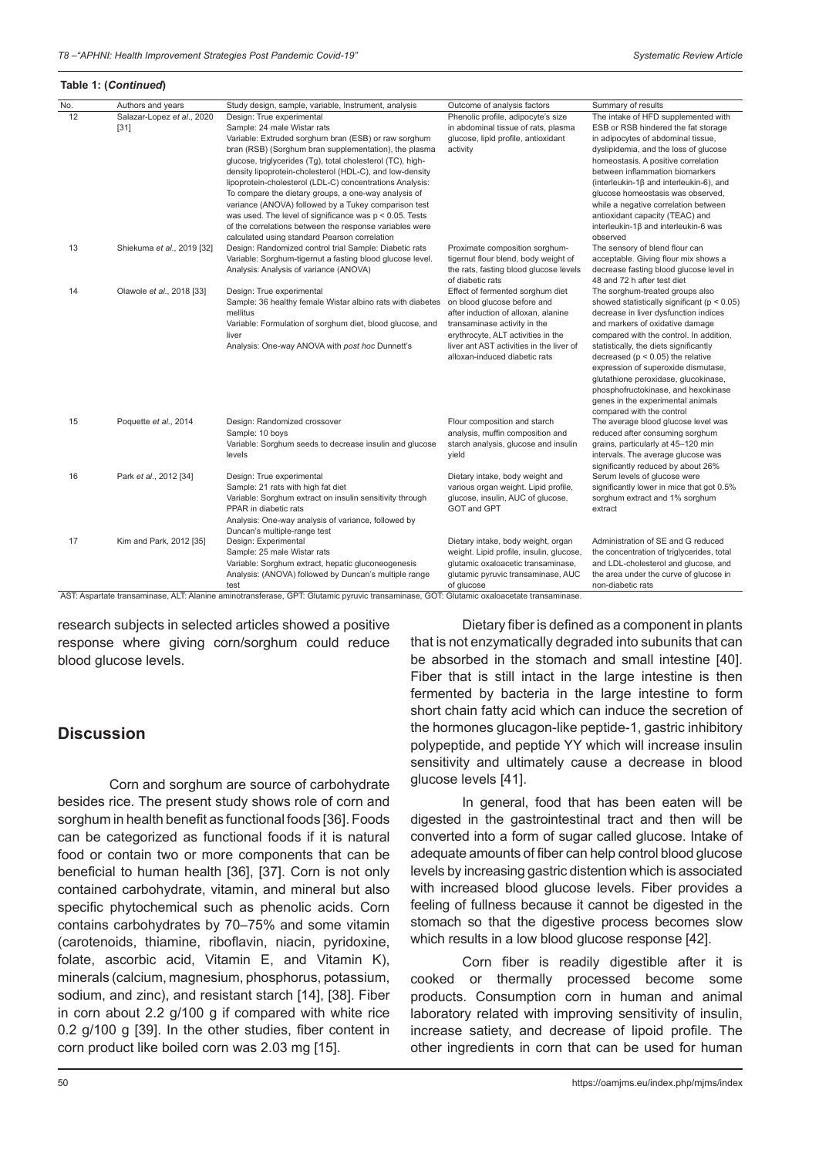#### **Table 1: (***Continued***)**

| No. | Authors and years                    | Study design, sample, variable, Instrument, analysis                                                                                                                                                                                                                                                                                                                                                                                                                                                                                                                                                                                                      | Outcome of analysis factors                                                                                                                                                                                                                               | Summary of results                                                                                                                                                                                                                                                                                                                                                                                                                                                                   |
|-----|--------------------------------------|-----------------------------------------------------------------------------------------------------------------------------------------------------------------------------------------------------------------------------------------------------------------------------------------------------------------------------------------------------------------------------------------------------------------------------------------------------------------------------------------------------------------------------------------------------------------------------------------------------------------------------------------------------------|-----------------------------------------------------------------------------------------------------------------------------------------------------------------------------------------------------------------------------------------------------------|--------------------------------------------------------------------------------------------------------------------------------------------------------------------------------------------------------------------------------------------------------------------------------------------------------------------------------------------------------------------------------------------------------------------------------------------------------------------------------------|
| 12  | Salazar-Lopez et al., 2020<br>$[31]$ | Design: True experimental<br>Sample: 24 male Wistar rats<br>Variable: Extruded sorghum bran (ESB) or raw sorghum<br>bran (RSB) (Sorghum bran supplementation), the plasma<br>glucose, triglycerides (Tg), total cholesterol (TC), high-<br>density lipoprotein-cholesterol (HDL-C), and low-density<br>lipoprotein-cholesterol (LDL-C) concentrations Analysis:<br>To compare the dietary groups, a one-way analysis of<br>variance (ANOVA) followed by a Tukey comparison test<br>was used. The level of significance was $p < 0.05$ . Tests<br>of the correlations between the response variables were<br>calculated using standard Pearson correlation | Phenolic profile, adipocyte's size<br>in abdominal tissue of rats, plasma<br>glucose, lipid profile, antioxidant<br>activity                                                                                                                              | The intake of HFD supplemented with<br>ESB or RSB hindered the fat storage<br>in adipocytes of abdominal tissue,<br>dyslipidemia, and the loss of glucose<br>homeostasis. A positive correlation<br>between inflammation biomarkers<br>(interleukin-1 $\beta$ and interleukin-6), and<br>glucose homeostasis was observed,<br>while a negative correlation between<br>antioxidant capacity (TEAC) and<br>interleukin-1 $\beta$ and interleukin-6 was<br>observed                     |
| 13  | Shiekuma et al., 2019 [32]           | Design: Randomized control trial Sample: Diabetic rats<br>Variable: Sorghum-tigernut a fasting blood glucose level.<br>Analysis: Analysis of variance (ANOVA)                                                                                                                                                                                                                                                                                                                                                                                                                                                                                             | Proximate composition sorghum-<br>tigernut flour blend, body weight of<br>the rats, fasting blood glucose levels<br>of diabetic rats                                                                                                                      | The sensory of blend flour can<br>acceptable. Giving flour mix shows a<br>decrease fasting blood glucose level in<br>48 and 72 h after test diet                                                                                                                                                                                                                                                                                                                                     |
| 14  | Olawole et al., 2018 [33]            | Design: True experimental<br>Sample: 36 healthy female Wistar albino rats with diabetes<br>mellitus<br>Variable: Formulation of sorghum diet, blood glucose, and<br>liver<br>Analysis: One-way ANOVA with post hoc Dunnett's                                                                                                                                                                                                                                                                                                                                                                                                                              | Effect of fermented sorghum diet<br>on blood glucose before and<br>after induction of alloxan, alanine<br>transaminase activity in the<br>erythrocyte, ALT activities in the<br>liver ant AST activities in the liver of<br>alloxan-induced diabetic rats | The sorghum-treated groups also<br>showed statistically significant ( $p < 0.05$ )<br>decrease in liver dysfunction indices<br>and markers of oxidative damage<br>compared with the control. In addition,<br>statistically, the diets significantly<br>decreased ( $p < 0.05$ ) the relative<br>expression of superoxide dismutase,<br>glutathione peroxidase, glucokinase,<br>phosphofructokinase, and hexokinase<br>genes in the experimental animals<br>compared with the control |
| 15  | Poquette et al., 2014                | Design: Randomized crossover<br>Sample: 10 boys<br>Variable: Sorghum seeds to decrease insulin and glucose<br>levels                                                                                                                                                                                                                                                                                                                                                                                                                                                                                                                                      | Flour composition and starch<br>analysis, muffin composition and<br>starch analysis, glucose and insulin<br>yield                                                                                                                                         | The average blood glucose level was<br>reduced after consuming sorghum<br>grains, particularly at 45-120 min<br>intervals. The average glucose was<br>significantly reduced by about 26%                                                                                                                                                                                                                                                                                             |
| 16  | Park et al., 2012 [34]               | Design: True experimental<br>Sample: 21 rats with high fat diet<br>Variable: Sorghum extract on insulin sensitivity through<br>PPAR in diabetic rats<br>Analysis: One-way analysis of variance, followed by<br>Duncan's multiple-range test                                                                                                                                                                                                                                                                                                                                                                                                               | Dietary intake, body weight and<br>various organ weight. Lipid profile,<br>glucose, insulin, AUC of glucose,<br>GOT and GPT                                                                                                                               | Serum levels of glucose were<br>significantly lower in mice that got 0.5%<br>sorghum extract and 1% sorghum<br>extract                                                                                                                                                                                                                                                                                                                                                               |
| 17  | Kim and Park, 2012 [35]              | Design: Experimental<br>Sample: 25 male Wistar rats<br>Variable: Sorghum extract, hepatic gluconeogenesis<br>Analysis: (ANOVA) followed by Duncan's multiple range<br>test<br>AST: Aspartate transaminase, ALT: Alanine aminotransferase, GPT: Glutamic pyruvic transaminase, GOT: Glutamic oxaloacetate transaminase.                                                                                                                                                                                                                                                                                                                                    | Dietary intake, body weight, organ<br>weight. Lipid profile, insulin, glucose,<br>glutamic oxaloacetic transaminase,<br>glutamic pyruvic transaminase, AUC<br>of glucose                                                                                  | Administration of SE and G reduced<br>the concentration of triglycerides, total<br>and LDL-cholesterol and glucose, and<br>the area under the curve of glucose in<br>non-diabetic rats                                                                                                                                                                                                                                                                                               |

research subjects in selected articles showed a positive response where giving corn/sorghum could reduce blood glucose levels.

## **Discussion**

Corn and sorghum are source of carbohydrate besides rice. The present study shows role of corn and sorghum in health benefit as functional foods [36]. Foods can be categorized as functional foods if it is natural food or contain two or more components that can be beneficial to human health [36], [37]. Corn is not only contained carbohydrate, vitamin, and mineral but also specific phytochemical such as phenolic acids. Corn contains carbohydrates by 70–75% and some vitamin (carotenoids, thiamine, riboflavin, niacin, pyridoxine, folate, ascorbic acid, Vitamin E, and Vitamin K), minerals (calcium, magnesium, phosphorus, potassium, sodium, and zinc), and resistant starch [14], [38]. Fiber in corn about 2.2 g/100 g if compared with white rice 0.2 g/100 g [39]. In the other studies, fiber content in corn product like boiled corn was 2.03 mg [15].

Dietary fiber is defined as a component in plants that is not enzymatically degraded into subunits that can be absorbed in the stomach and small intestine [40]. Fiber that is still intact in the large intestine is then fermented by bacteria in the large intestine to form short chain fatty acid which can induce the secretion of the hormones glucagon-like peptide-1, gastric inhibitory polypeptide, and peptide YY which will increase insulin sensitivity and ultimately cause a decrease in blood glucose levels [41].

In general, food that has been eaten will be digested in the gastrointestinal tract and then will be converted into a form of sugar called glucose. Intake of adequate amounts of fiber can help control blood glucose levels by increasing gastric distention which is associated with increased blood glucose levels. Fiber provides a feeling of fullness because it cannot be digested in the stomach so that the digestive process becomes slow which results in a low blood glucose response [42].

Corn fiber is readily digestible after it is cooked or thermally processed become some products. Consumption corn in human and animal laboratory related with improving sensitivity of insulin, increase satiety, and decrease of lipoid profile. The other ingredients in corn that can be used for human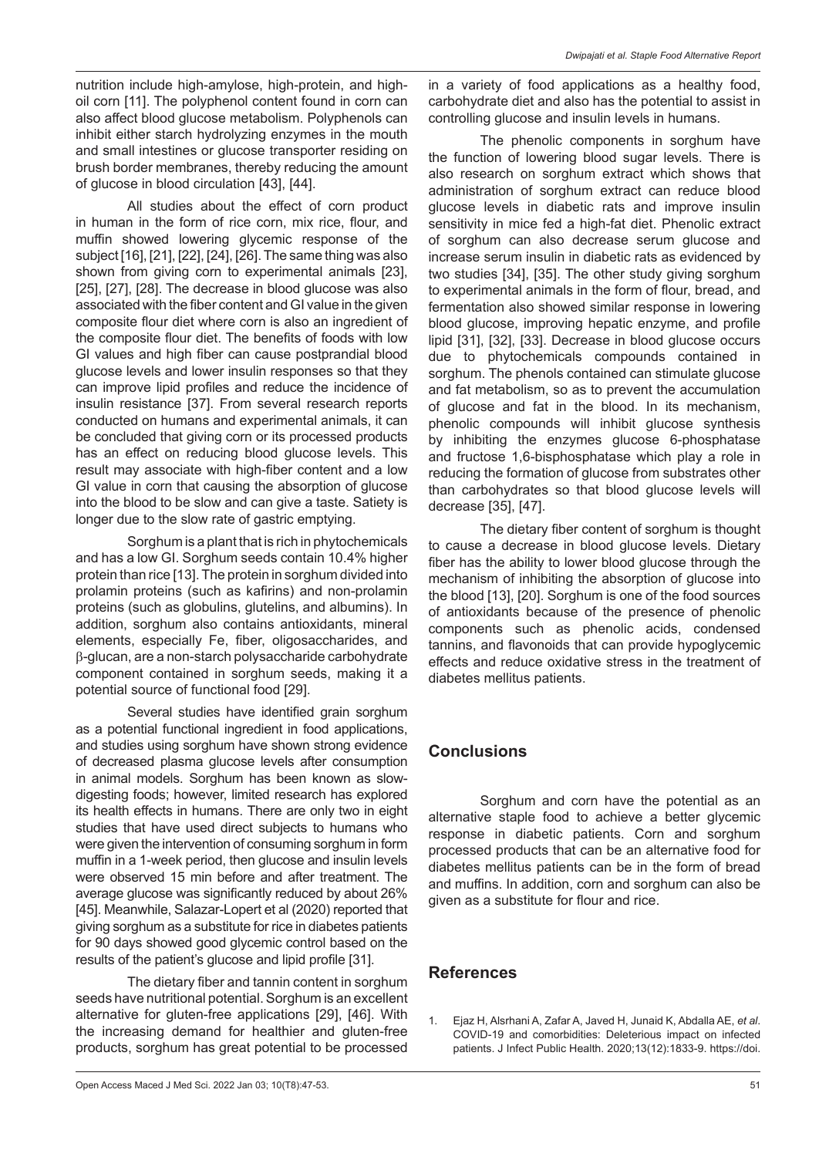nutrition include high-amylose, high-protein, and highoil corn [11]. The polyphenol content found in corn can also affect blood glucose metabolism. Polyphenols can inhibit either starch hydrolyzing enzymes in the mouth and small intestines or glucose transporter residing on brush border membranes, thereby reducing the amount of glucose in blood circulation [43], [44].

All studies about the effect of corn product in human in the form of rice corn, mix rice, flour, and muffin showed lowering glycemic response of the subject [16], [21], [22], [24], [26]. The same thing was also shown from giving corn to experimental animals [23], [25], [27], [28]. The decrease in blood glucose was also associated with the fiber content and GI value in the given composite flour diet where corn is also an ingredient of the composite flour diet. The benefits of foods with low GI values and high fiber can cause postprandial blood glucose levels and lower insulin responses so that they can improve lipid profiles and reduce the incidence of insulin resistance [37]. From several research reports conducted on humans and experimental animals, it can be concluded that giving corn or its processed products has an effect on reducing blood glucose levels. This result may associate with high-fiber content and a low GI value in corn that causing the absorption of glucose into the blood to be slow and can give a taste. Satiety is longer due to the slow rate of gastric emptying.

Sorghum is a plant that is rich in phytochemicals and has a low GI. Sorghum seeds contain 10.4% higher protein than rice [13]. The protein in sorghum divided into prolamin proteins (such as kafirins) and non-prolamin proteins (such as globulins, glutelins, and albumins). In addition, sorghum also contains antioxidants, mineral elements, especially Fe, fiber, oligosaccharides, and β-glucan, are a non-starch polysaccharide carbohydrate component contained in sorghum seeds, making it a potential source of functional food [29].

Several studies have identified grain sorghum as a potential functional ingredient in food applications, and studies using sorghum have shown strong evidence of decreased plasma glucose levels after consumption in animal models. Sorghum has been known as slowdigesting foods; however, limited research has explored its health effects in humans. There are only two in eight studies that have used direct subjects to humans who were given the intervention of consuming sorghum in form muffin in a 1-week period, then glucose and insulin levels were observed 15 min before and after treatment. The average glucose was significantly reduced by about 26% [45]. Meanwhile, Salazar-Lopert et al (2020) reported that giving sorghum as a substitute for rice in diabetes patients for 90 days showed good glycemic control based on the results of the patient's glucose and lipid profile [31].

The dietary fiber and tannin content in sorghum seeds have nutritional potential. Sorghum is an excellent alternative for gluten-free applications [29], [46]. With the increasing demand for healthier and gluten-free products, sorghum has great potential to be processed in a variety of food applications as a healthy food, carbohydrate diet and also has the potential to assist in controlling glucose and insulin levels in humans.

The phenolic components in sorghum have the function of lowering blood sugar levels. There is also research on sorghum extract which shows that administration of sorghum extract can reduce blood glucose levels in diabetic rats and improve insulin sensitivity in mice fed a high-fat diet. Phenolic extract of sorghum can also decrease serum glucose and increase serum insulin in diabetic rats as evidenced by two studies [34], [35]. The other study giving sorghum to experimental animals in the form of flour, bread, and fermentation also showed similar response in lowering blood glucose, improving hepatic enzyme, and profile lipid [31], [32], [33]. Decrease in blood glucose occurs due to phytochemicals compounds contained in sorghum. The phenols contained can stimulate glucose and fat metabolism, so as to prevent the accumulation of glucose and fat in the blood. In its mechanism, phenolic compounds will inhibit glucose synthesis by inhibiting the enzymes glucose 6-phosphatase and fructose 1,6-bisphosphatase which play a role in reducing the formation of glucose from substrates other than carbohydrates so that blood glucose levels will decrease [35], [47].

The dietary fiber content of sorghum is thought to cause a decrease in blood glucose levels. Dietary fiber has the ability to lower blood glucose through the mechanism of inhibiting the absorption of glucose into the blood [13], [20]. Sorghum is one of the food sources of antioxidants because of the presence of phenolic components such as phenolic acids, condensed tannins, and flavonoids that can provide hypoglycemic effects and reduce oxidative stress in the treatment of diabetes mellitus patients.

### **Conclusions**

Sorghum and corn have the potential as an alternative staple food to achieve a better glycemic response in diabetic patients. Corn and sorghum processed products that can be an alternative food for diabetes mellitus patients can be in the form of bread and muffins. In addition, corn and sorghum can also be given as a substitute for flour and rice.

## **References**

1. Ejaz H, Alsrhani A, Zafar A, Javed H, Junaid K, Abdalla AE, *et al*. COVID-19 and comorbidities: Deleterious impact on infected patients. J Infect Public Health. 2020;13(12):1833-9. https://doi.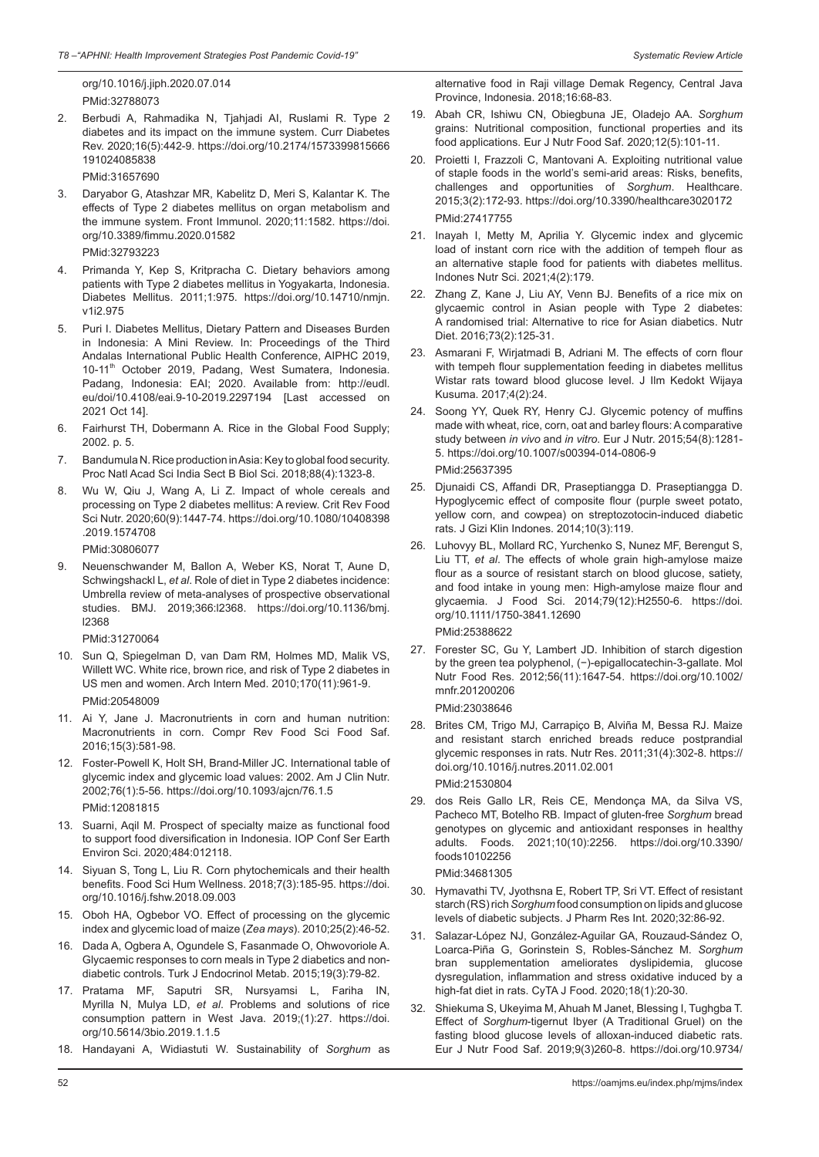org/10.1016/j.jiph.2020.07.014 PMid:32788073

2. Berbudi A, Rahmadika N, Tjahjadi AI, Ruslami R. Type 2 diabetes and its impact on the immune system. Curr Diabetes Rev. 2020;16(5):442-9. https://doi.org/10.2174/1573399815666 191024085838

PMid:31657690

3. Daryabor G, Atashzar MR, Kabelitz D, Meri S, Kalantar K. The effects of Type 2 diabetes mellitus on organ metabolism and the immune system. Front Immunol. 2020;11:1582. https://doi. org/10.3389/fimmu.2020.01582

PMid:32793223

- 4. Primanda Y, Kep S, Kritpracha C. Dietary behaviors among patients with Type 2 diabetes mellitus in Yogyakarta, Indonesia. Diabetes Mellitus. 2011;1:975. https://doi.org/10.14710/nmjn. v1i2.975
- 5. Puri I. Diabetes Mellitus, Dietary Pattern and Diseases Burden in Indonesia: A Mini Review. In: Proceedings of the Third Andalas International Public Health Conference, AIPHC 2019, 10-11<sup>th</sup> October 2019, Padang, West Sumatera, Indonesia. Padang, Indonesia: EAI; 2020. Available from: http://eudl. eu/doi/10.4108/eai.9-10-2019.2297194 [Last accessed on 2021 Oct 14].
- 6. Fairhurst TH, Dobermann A. Rice in the Global Food Supply; 2002. p. 5.
- 7. Bandumula N. Rice production in Asia: Key to global food security. Proc Natl Acad Sci India Sect B Biol Sci. 2018;88(4):1323-8.
- 8. Wu W, Qiu J, Wang A, Li Z. Impact of whole cereals and processing on Type 2 diabetes mellitus: A review. Crit Rev Food Sci Nutr. 2020;60(9):1447-74. https://doi.org/10.1080/10408398 .2019.1574708

PMid:30806077

9. Neuenschwander M, Ballon A, Weber KS, Norat T, Aune D, Schwingshackl L, *et al*. Role of diet in Type 2 diabetes incidence: Umbrella review of meta-analyses of prospective observational studies. BMJ. 2019;366:l2368. https://doi.org/10.1136/bmj. l2368

PMid:31270064

- 10. Sun Q, Spiegelman D, van Dam RM, Holmes MD, Malik VS, Willett WC. White rice, brown rice, and risk of Type 2 diabetes in US men and women. Arch Intern Med. 2010;170(11):961-9. PMid:20548009
- 11. Ai Y, Jane J. Macronutrients in corn and human nutrition: Macronutrients in corn. Compr Rev Food Sci Food Saf. 2016;15(3):581-98.
- 12. Foster-Powell K, Holt SH, Brand-Miller JC. International table of glycemic index and glycemic load values: 2002. Am J Clin Nutr. 2002;76(1):5-56. https://doi.org/10.1093/ajcn/76.1.5 PMid:12081815
- 13. Suarni, Aqil M. Prospect of specialty maize as functional food to support food diversification in Indonesia. IOP Conf Ser Earth Environ Sci. 2020;484:012118.
- 14. Siyuan S, Tong L, Liu R. Corn phytochemicals and their health benefits. Food Sci Hum Wellness. 2018;7(3):185-95. https://doi. org/10.1016/j.fshw.2018.09.003
- 15. Oboh HA, Ogbebor VO. Effect of processing on the glycemic index and glycemic load of maize (*Zea mays*). 2010;25(2):46-52.
- 16. Dada A, Ogbera A, Ogundele S, Fasanmade O, Ohwovoriole A. Glycaemic responses to corn meals in Type 2 diabetics and nondiabetic controls. Turk J Endocrinol Metab. 2015;19(3):79-82.
- 17. Pratama MF, Saputri SR, Nursyamsi L, Fariha IN, Myrilla N, Mulya LD, *et al*. Problems and solutions of rice consumption pattern in West Java. 2019;(1):27. https://doi. org/10.5614/3bio.2019.1.1.5
- 18. Handayani A, Widiastuti W. Sustainability of *Sorghum* as

alternative food in Raji village Demak Regency, Central Java Province, Indonesia. 2018;16:68-83.

- 19. Abah CR, Ishiwu CN, Obiegbuna JE, Oladejo AA. *Sorghum* grains: Nutritional composition, functional properties and its food applications. Eur J Nutr Food Saf. 2020;12(5):101-11.
- 20. Proietti I, Frazzoli C, Mantovani A. Exploiting nutritional value of staple foods in the world's semi-arid areas: Risks, benefits, challenges and opportunities of *Sorghum*. Healthcare. 2015;3(2):172-93. https://doi.org/10.3390/healthcare3020172 PMid:27417755
- 21. Inayah I, Metty M, Aprilia Y. Glycemic index and glycemic load of instant corn rice with the addition of tempeh flour as an alternative staple food for patients with diabetes mellitus. Indones Nutr Sci. 2021;4(2):179.
- 22. Zhang Z, Kane J, Liu AY, Venn BJ. Benefits of a rice mix on glycaemic control in Asian people with Type 2 diabetes: A randomised trial: Alternative to rice for Asian diabetics. Nutr Diet. 2016;73(2):125-31.
- 23. Asmarani F, Wirjatmadi B, Adriani M. The effects of corn flour with tempeh flour supplementation feeding in diabetes mellitus Wistar rats toward blood glucose level. J Ilm Kedokt Wijaya Kusuma. 2017;4(2):24.
- 24. Soong YY, Quek RY, Henry CJ. Glycemic potency of muffins made with wheat, rice, corn, oat and barley flours: Acomparative study between *in vivo* and *in vitro*. Eur J Nutr. 2015;54(8):1281- 5. https://doi.org/10.1007/s00394-014-0806-9 PMid:25637395
- 25. Djunaidi CS, Affandi DR, Praseptiangga D. Praseptiangga D. Hypoglycemic effect of composite flour (purple sweet potato, yellow corn, and cowpea) on streptozotocin-induced diabetic rats. J Gizi Klin Indones. 2014;10(3):119.
- 26. Luhovyy BL, Mollard RC, Yurchenko S, Nunez MF, Berengut S, Liu TT, *et al*. The effects of whole grain high-amylose maize flour as a source of resistant starch on blood glucose, satiety, and food intake in young men: High-amylose maize flour and glycaemia. J Food Sci. 2014;79(12):H2550-6. https://doi. org/10.1111/1750-3841.12690 PMid:25388622
- 27. Forester SC, Gu Y, Lambert JD. Inhibition of starch digestion by the green tea polyphenol, (−)-epigallocatechin-3-gallate. Mol Nutr Food Res. 2012;56(11):1647-54. https://doi.org/10.1002/ mnfr.201200206

PMid:23038646

28. Brites CM, Trigo MJ, Carrapiço B, Alviña M, Bessa RJ. Maize and resistant starch enriched breads reduce postprandial glycemic responses in rats. Nutr Res. 2011;31(4):302-8. https:// doi.org/10.1016/j.nutres.2011.02.001

PMid:21530804

29. dos Reis Gallo LR, Reis CE, Mendonça MA, da Silva VS, Pacheco MT, Botelho RB. Impact of gluten-free *Sorghum* bread genotypes on glycemic and antioxidant responses in healthy adults. Foods. 2021;10(10):2256. https://doi.org/10.3390/ foods10102256

PMid:34681305

- Hymavathi TV, Jyothsna E, Robert TP, Sri VT. Effect of resistant starch (RS) rich *Sorghum* food consumption on lipids and glucose levels of diabetic subjects. J Pharm Res Int. 2020;32:86-92.
- 31. Salazar-López NJ, González-Aguilar GA, Rouzaud-Sández O, Loarca-Piña G, Gorinstein S, Robles-Sánchez M. *Sorghum* bran supplementation ameliorates dyslipidemia, glucose dysregulation, inflammation and stress oxidative induced by a high-fat diet in rats. CyTA J Food. 2020;18(1):20-30.
- 32. Shiekuma S, Ukeyima M, Ahuah M Janet, Blessing I, Tughgba T. Effect of *Sorghum*-tigernut Ibyer (A Traditional Gruel) on the fasting blood glucose levels of alloxan-induced diabetic rats. Eur J Nutr Food Saf. 2019;9(3)260-8. https://doi.org/10.9734/